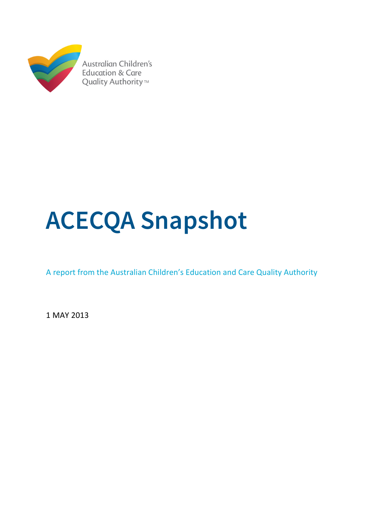

# **ACECQA Snapshot**

A report from the Australian Children's Education and Care Quality Authority

1 MAY 2013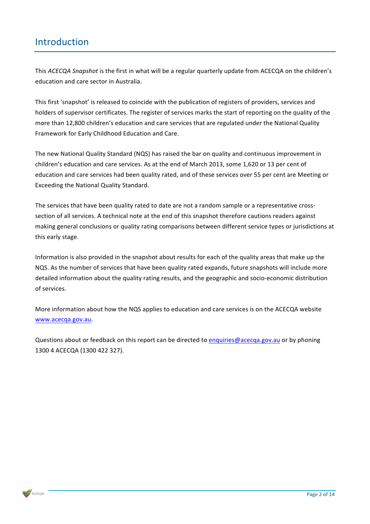## Introduction

This *ACECQA* Snapshot is the first in what will be a regular quarterly update from ACECQA on the children's education and care sector in Australia.

This first 'snapshot' is released to coincide with the publication of registers of providers, services and holders of supervisor certificates. The register of services marks the start of reporting on the quality of the more than 12,800 children's education and care services that are regulated under the National Quality Framework for Early Childhood Education and Care.

The new National Quality Standard (NQS) has raised the bar on quality and continuous improvement in children's education and care services. As at the end of March 2013, some 1,620 or 13 per cent of education and care services had been quality rated, and of these services over 55 per cent are Meeting or Exceeding the National Quality Standard.

The services that have been quality rated to date are not a random sample or a representative crosssection of all services. A technical note at the end of this snapshot therefore cautions readers against making general conclusions or quality rating comparisons between different service types or jurisdictions at this early stage.

Information is also provided in the snapshot about results for each of the quality areas that make up the NQS. As the number of services that have been quality rated expands, future snapshots will include more detailed information about the quality rating results, and the geographic and socio-economic distribution of services.

More information about how the NQS applies to education and care services is on the ACECQA website www.acecqa.gov.au.

Questions about or feedback on this report can be directed to enquiries@acecqa.gov.au or by phoning 1300 4 ACECQA (1300 422 327).

 $ACECOA$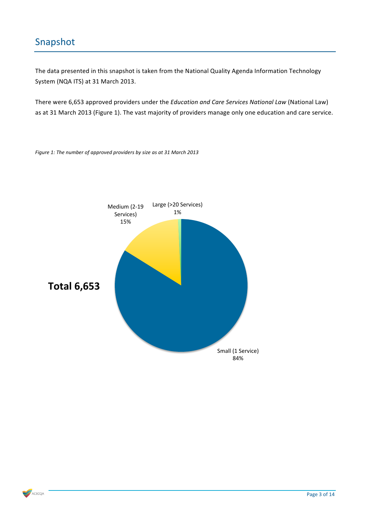## Snapshot

The data presented in this snapshot is taken from the National Quality Agenda Information Technology System (NQA ITS) at 31 March 2013.

There were 6,653 approved providers under the *Education and Care Services National Law* (National Law) as at 31 March 2013 (Figure 1). The vast majority of providers manage only one education and care service.



Figure 1: The number of approved providers by size as at 31 March 2013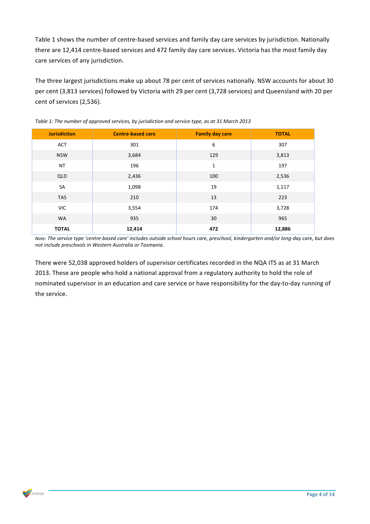Table 1 shows the number of centre-based services and family day care services by jurisdiction. Nationally there are 12,414 centre-based services and 472 family day care services. Victoria has the most family day care services of any jurisdiction.

The three largest jurisdictions make up about 78 per cent of services nationally. NSW accounts for about 30 per cent (3,813 services) followed by Victoria with 29 per cent (3,728 services) and Queensland with 20 per cent of services (2,536).

| <b>Jurisdiction</b> | <b>Centre-based care</b> | <b>Family day care</b> | <b>TOTAL</b> |  |
|---------------------|--------------------------|------------------------|--------------|--|
| ACT                 | 301                      | 6                      | 307          |  |
| <b>NSW</b>          | 129<br>3,684             |                        | 3,813        |  |
| <b>NT</b>           | 196<br>$\mathbf{1}$      |                        | 197          |  |
| QLD                 | 2,436                    | 100                    | 2,536        |  |
| SA                  | 1,098                    | 19                     | 1,117        |  |
| <b>TAS</b>          | 210                      | 13                     | 223          |  |
| <b>VIC</b>          | 3,554                    | 174                    | 3,728        |  |
| <b>WA</b>           | 935                      | 30                     | 965          |  |
| <b>TOTAL</b>        | 12,414                   | 472                    | 12,886       |  |

Table 1: The number of approved services, by jurisdiction and service type, as at 31 March 2013

*Note:* The service type 'centre-based care' includes outside school hours care, preschool, kindergarten and/or long-day care, but does not include preschools in Western Australia or Tasmania.

There were 52,038 approved holders of supervisor certificates recorded in the NQA ITS as at 31 March 2013. These are people who hold a national approval from a regulatory authority to hold the role of nominated supervisor in an education and care service or have responsibility for the day-to-day running of the service.

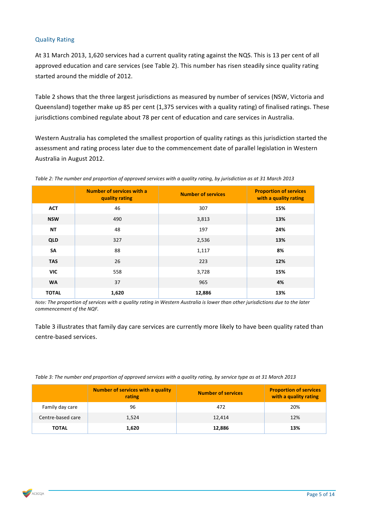#### Quality Rating

At 31 March 2013, 1,620 services had a current quality rating against the NQS. This is 13 per cent of all approved education and care services (see Table 2). This number has risen steadily since quality rating started around the middle of 2012.

Table 2 shows that the three largest jurisdictions as measured by number of services (NSW, Victoria and Queensland) together make up 85 per cent (1,375 services with a quality rating) of finalised ratings. These jurisdictions combined regulate about 78 per cent of education and care services in Australia.

Western Australia has completed the smallest proportion of quality ratings as this jurisdiction started the assessment and rating process later due to the commencement date of parallel legislation in Western Australia in August 2012.

|              | Number of services with a<br>quality rating | <b>Number of services</b> | <b>Proportion of services</b><br>with a quality rating |
|--------------|---------------------------------------------|---------------------------|--------------------------------------------------------|
| <b>ACT</b>   | 46                                          | 307                       | 15%                                                    |
| <b>NSW</b>   | 490                                         | 3,813                     | 13%                                                    |
| <b>NT</b>    | 48                                          | 197                       | 24%                                                    |
| <b>QLD</b>   | 327                                         | 2,536                     | 13%                                                    |
| SA           | 88                                          | 1,117                     | 8%                                                     |
| <b>TAS</b>   | 26                                          | 223                       | 12%                                                    |
| <b>VIC</b>   | 558                                         | 3,728                     | 15%                                                    |
| <b>WA</b>    | 37                                          | 965                       | 4%                                                     |
| <b>TOTAL</b> | 1,620                                       | 12,886                    | 13%                                                    |

Table 2: The number and proportion of approved services with a quality rating, by jurisdiction as at 31 March 2013

*Note:* The proportion of services with a quality rating in Western Australia is lower than other jurisdictions due to the later commencement of the NQF.

Table 3 illustrates that family day care services are currently more likely to have been quality rated than centre-based services.

Table 3: The number and proportion of approved services with a quality rating, by service type as at 31 March 2013

|                   | Number of services with a quality<br>rating | <b>Number of services</b> | <b>Proportion of services</b><br>with a quality rating |  |
|-------------------|---------------------------------------------|---------------------------|--------------------------------------------------------|--|
| Family day care   | 96                                          | 472                       | 20%                                                    |  |
| Centre-based care | 1.524                                       | 12.414                    | 12%                                                    |  |
| <b>TOTAL</b>      | 1,620                                       | 12,886                    | 13%                                                    |  |

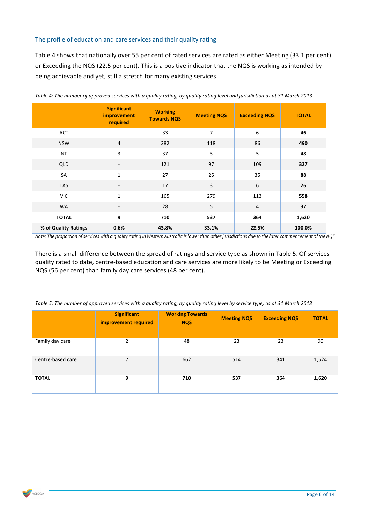#### The profile of education and care services and their quality rating

Table 4 shows that nationally over 55 per cent of rated services are rated as either Meeting (33.1 per cent) or Exceeding the NQS (22.5 per cent). This is a positive indicator that the NQS is working as intended by being achievable and yet, still a stretch for many existing services.

|                      | <b>Significant</b><br><i>improvement</i><br>required | <b>Working</b><br><b>Towards NQS</b> | <b>Meeting NQS</b> | <b>Exceeding NQS</b> | <b>TOTAL</b> |
|----------------------|------------------------------------------------------|--------------------------------------|--------------------|----------------------|--------------|
| <b>ACT</b>           |                                                      | 33                                   | 7                  | 6                    | 46           |
| <b>NSW</b>           | $\overline{4}$                                       | 282                                  | 118                | 86                   | 490          |
| <b>NT</b>            | 3                                                    | 37                                   | 3                  | 5                    | 48           |
| QLD                  | $\overline{\phantom{a}}$                             | 121                                  | 97                 | 109                  | 327          |
| SA                   | $\mathbf{1}$                                         | 27                                   | 25                 | 35                   | 88           |
| <b>TAS</b>           | $\overline{\phantom{0}}$                             | 17                                   | 3                  | 6                    | 26           |
| <b>VIC</b>           | $\mathbf{1}$                                         | 165                                  | 279                | 113                  | 558          |
| <b>WA</b>            | $\overline{\phantom{a}}$                             | 28                                   | 5                  | $\overline{4}$       | 37           |
| <b>TOTAL</b>         | 9                                                    | 710                                  | 537                | 364                  | 1,620        |
| % of Quality Ratings | 0.6%                                                 | 43.8%                                | 33.1%              | 22.5%                | 100.0%       |

Table 4: The number of approved services with a quality rating, by quality rating level and jurisdiction as at 31 March 2013

*Note: The proportion of services with a quality rating in Western Australia is lower than other jurisdictions due to the later commencement of the NQF.*

There is a small difference between the spread of ratings and service type as shown in Table 5. Of services quality rated to date, centre-based education and care services are more likely to be Meeting or Exceeding NQS (56 per cent) than family day care services (48 per cent).

| Table 5: The number of approved services with a quality rating, by quality rating level by service type, as at 31 March 2013 |
|------------------------------------------------------------------------------------------------------------------------------|
|------------------------------------------------------------------------------------------------------------------------------|

|                   | <b>Significant</b><br>improvement required | <b>Working Towards</b><br><b>NQS</b> | <b>Meeting NQS</b> | <b>Exceeding NQS</b> | <b>TOTAL</b> |
|-------------------|--------------------------------------------|--------------------------------------|--------------------|----------------------|--------------|
| Family day care   | 2                                          | 48                                   | 23                 | 23                   | 96           |
| Centre-based care | 7                                          | 662                                  | 514                | 341                  | 1,524        |
| <b>TOTAL</b>      | 9                                          | 710                                  | 537                | 364                  | 1,620        |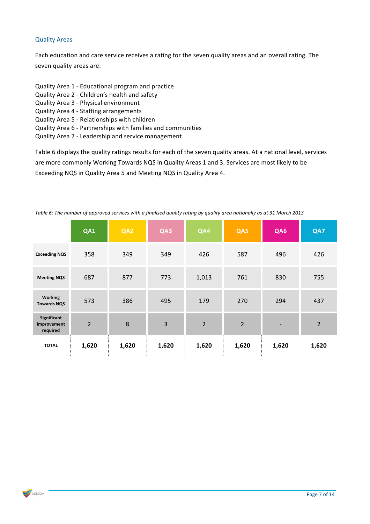#### Quality Areas

Each education and care service receives a rating for the seven quality areas and an overall rating. The seven quality areas are:

- Quality Area 1 Educational program and practice
- Quality Area 2 Children's health and safety
- Quality Area 3 Physical environment
- Quality Area 4 Staffing arrangements
- Quality Area 5 Relationships with children
- Quality Area 6 Partnerships with families and communities
- Quality Area 7 Leadership and service management

Table 6 displays the quality ratings results for each of the seven quality areas. At a national level, services are more commonly Working Towards NQS in Quality Areas 1 and 3. Services are most likely to be Exceeding NQS in Quality Area 5 and Meeting NQS in Quality Area 4.

|                                        | QA1            | QA2   | QA3   | QA4            | QA5            | QA6                      | QA7            |
|----------------------------------------|----------------|-------|-------|----------------|----------------|--------------------------|----------------|
| <b>Exceeding NQS</b>                   | 358            | 349   | 349   | 426            | 587            | 496                      | 426            |
| <b>Meeting NQS</b>                     | 687            | 877   | 773   | 1,013          | 761            | 830                      | 755            |
| <b>Working</b><br><b>Towards NQS</b>   | 573            | 386   | 495   | 179            | 270            | 294                      | 437            |
| Significant<br>improvement<br>required | $\overline{2}$ | 8     | 3     | $\overline{2}$ | $\overline{2}$ | $\overline{\phantom{a}}$ | $\overline{2}$ |
| <b>TOTAL</b>                           | 1,620          | 1,620 | 1,620 | 1,620          | 1,620          | 1,620                    | 1,620          |

Table 6: The number of approved services with a finalised quality rating by quality area nationally as at 31 March 2013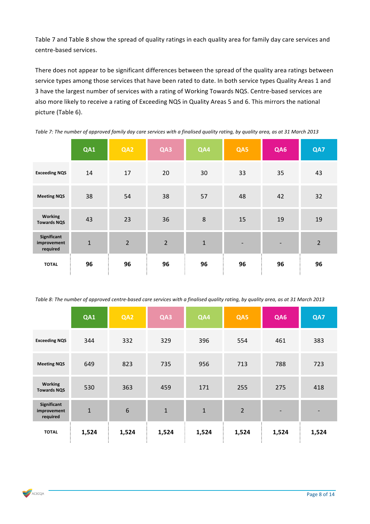Table 7 and Table 8 show the spread of quality ratings in each quality area for family day care services and centre-based services.

There does not appear to be significant differences between the spread of the quality area ratings between service types among those services that have been rated to date. In both service types Quality Areas 1 and 3 have the largest number of services with a rating of Working Towards NQS. Centre-based services are also more likely to receive a rating of Exceeding NQS in Quality Areas 5 and 6. This mirrors the national picture (Table 6).

|                                        | QA1         | QA2            | QA3            | QA4 | QA5                      | QA6 | QA7            |
|----------------------------------------|-------------|----------------|----------------|-----|--------------------------|-----|----------------|
| <b>Exceeding NQS</b>                   | 14          | 17             | 20             | 30  | 33                       | 35  | 43             |
| <b>Meeting NQS</b>                     | 38          | 54             | 38             | 57  | 48                       | 42  | 32             |
| <b>Working</b><br><b>Towards NQS</b>   | 43          | 23             | 36             | 8   | 15                       | 19  | 19             |
| Significant<br>improvement<br>required | $\mathbf 1$ | $\overline{2}$ | $\overline{2}$ | 1   | $\overline{\phantom{a}}$ | -   | $\overline{2}$ |
| <b>TOTAL</b>                           | 96          | 96             | 96             | 96  | 96                       | 96  | 96             |

*Table 7: The number of approved family day care services with a finalised quality rating, by quality area, as at 31 March 2013*

Table 8: The number of approved centre-based care services with a finalised quality rating, by quality area, as at 31 March 2013

|                                        | QA1          | QA2   | QA3          | QA4          | QA5            | QA6   | QA7                      |
|----------------------------------------|--------------|-------|--------------|--------------|----------------|-------|--------------------------|
| <b>Exceeding NQS</b>                   | 344          | 332   | 329          | 396          | 554            | 461   | 383                      |
| <b>Meeting NQS</b>                     | 649          | 823   | 735          | 956          | 713            | 788   | 723                      |
| <b>Working</b><br><b>Towards NQS</b>   | 530          | 363   | 459          | 171          | 255            | 275   | 418                      |
| Significant<br>improvement<br>required | $\mathbf{1}$ | $6\,$ | $\mathbf{1}$ | $\mathbf{1}$ | $\overline{2}$ | -     | $\overline{\phantom{a}}$ |
| <b>TOTAL</b>                           | 1,524        | 1,524 | 1,524        | 1,524        | 1,524          | 1,524 | 1,524                    |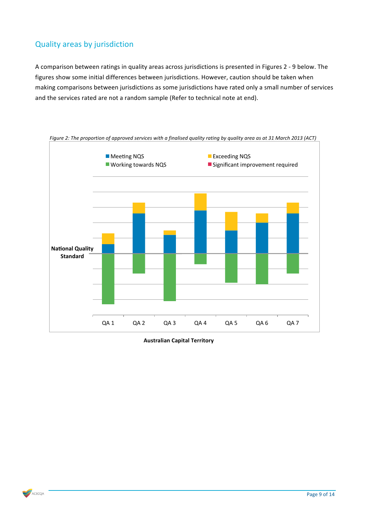### Quality areas by jurisdiction

A comparison between ratings in quality areas across jurisdictions is presented in Figures 2 - 9 below. The figures show some initial differences between jurisdictions. However, caution should be taken when making comparisons between jurisdictions as some jurisdictions have rated only a small number of services and the services rated are not a random sample (Refer to technical note at end).



*Figure 2: The proportion of approved services with a finalised quality rating by quality area as at 31 March 2013 (ACT)* 

**Australian Capital Territory**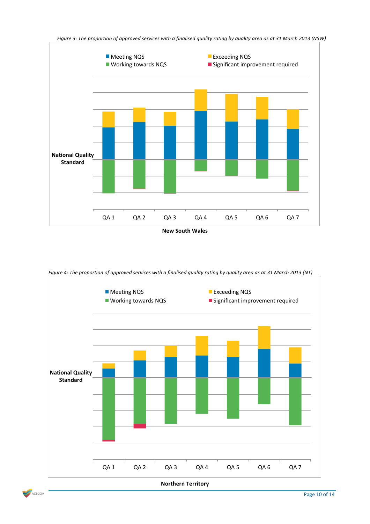

*Figure 4: The proportion of approved services with a finalised quality rating by quality area as at 31 March 2013 (NT)* 



**Northern Territory**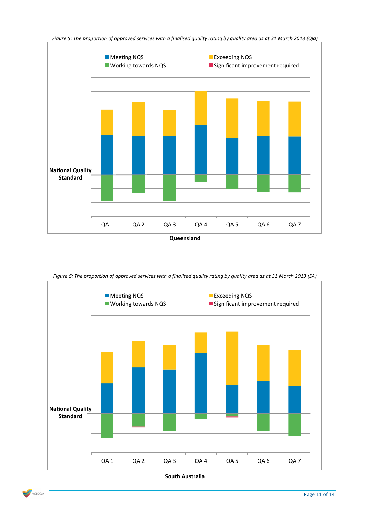

Figure 6: The proportion of approved services with a finalised quality rating by quality area as at 31 March 2013 (SA)





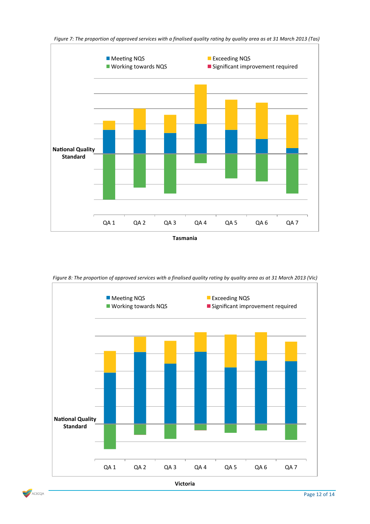

Figure 7: The proportion of approved services with a finalised quality rating by quality area as at 31 March 2013 (Tas)

**Tasmania**

*Figure 8: The proportion of approved services with a finalised quality rating by quality area as at 31 March 2013 (Vic)* 





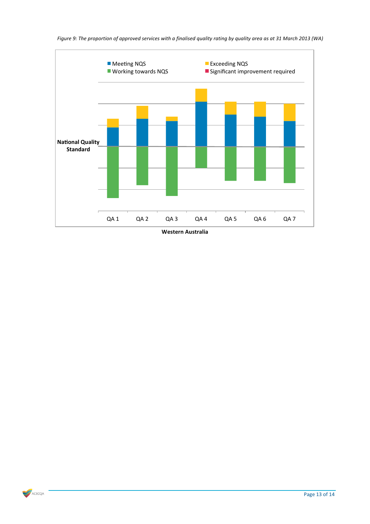

**Western Australia**